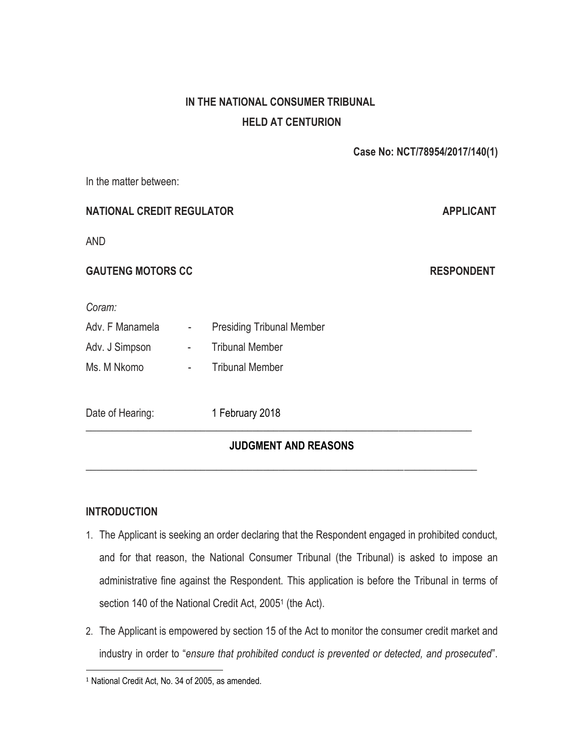# **IN THE NATIONAL CONSUMER TRIBUNAL HELD AT CENTURION**

 **Case No: NCT/78954/2017/140(1)**

In the matter between:

# **NATIONAL CREDIT REGULATOR APPLICANT**

AND

# **GAUTENG MOTORS CC RESPONDENT**

*Coram:*

Adv. F Manamela - Presiding Tribunal Member Adv. J Simpson - Tribunal Member Ms. M Nkomo **-** Tribunal Member

Date of Hearing: 1 February 2018

# **JUDGMENT AND REASONS**

\_\_\_\_\_\_\_\_\_\_\_\_\_\_\_\_\_\_\_\_\_\_\_\_\_\_\_\_\_\_\_\_\_\_\_\_\_\_\_\_\_\_\_\_\_\_\_\_\_\_\_\_\_\_\_\_\_\_\_\_\_\_\_\_\_\_\_\_\_\_\_\_\_\_

\_\_\_\_\_\_\_\_\_\_\_\_\_\_\_\_\_\_\_\_\_\_\_\_\_\_\_\_\_\_\_\_\_\_\_\_\_\_\_\_\_\_\_\_\_\_\_\_\_\_\_\_\_\_\_\_\_\_\_\_\_\_\_\_\_\_\_\_\_\_\_\_\_\_\_

# **INTRODUCTION**

l

- 1. The Applicant is seeking an order declaring that the Respondent engaged in prohibited conduct, and for that reason, the National Consumer Tribunal (the Tribunal) is asked to impose an administrative fine against the Respondent. This application is before the Tribunal in terms of section 140 of the National Credit Act, 2005<sup>1</sup> (the Act).
- 2. The Applicant is empowered by section 15 of the Act to monitor the consumer credit market and industry in order to "*ensure that prohibited conduct is prevented or detected, and prosecuted*".

<sup>1</sup> National Credit Act, No. 34 of 2005, as amended.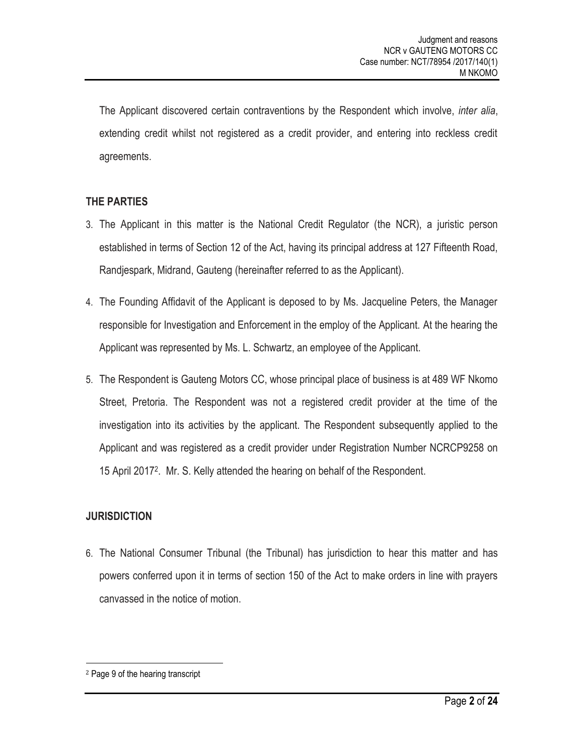The Applicant discovered certain contraventions by the Respondent which involve, *inter alia*, extending credit whilst not registered as a credit provider, and entering into reckless credit agreements.

# **THE PARTIES**

- 3. The Applicant in this matter is the National Credit Regulator (the NCR), a juristic person established in terms of Section 12 of the Act, having its principal address at 127 Fifteenth Road, Randjespark, Midrand, Gauteng (hereinafter referred to as the Applicant).
- 4. The Founding Affidavit of the Applicant is deposed to by Ms. Jacqueline Peters, the Manager responsible for Investigation and Enforcement in the employ of the Applicant. At the hearing the Applicant was represented by Ms. L. Schwartz, an employee of the Applicant.
- 5. The Respondent is Gauteng Motors CC, whose principal place of business is at 489 WF Nkomo Street, Pretoria. The Respondent was not a registered credit provider at the time of the investigation into its activities by the applicant. The Respondent subsequently applied to the Applicant and was registered as a credit provider under Registration Number NCRCP9258 on 15 April 2017<sup>2</sup> . Mr. S. Kelly attended the hearing on behalf of the Respondent.

# **JURISDICTION**

6. The National Consumer Tribunal (the Tribunal) has jurisdiction to hear this matter and has powers conferred upon it in terms of section 150 of the Act to make orders in line with prayers canvassed in the notice of motion.

<sup>2</sup> Page 9 of the hearing transcript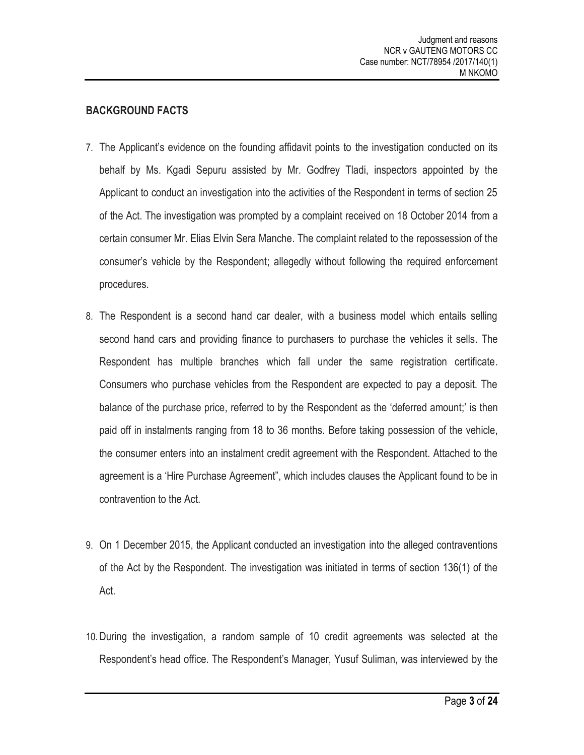# **BACKGROUND FACTS**

- 7. The Applicant's evidence on the founding affidavit points to the investigation conducted on its behalf by Ms. Kgadi Sepuru assisted by Mr. Godfrey Tladi, inspectors appointed by the Applicant to conduct an investigation into the activities of the Respondent in terms of section 25 of the Act. The investigation was prompted by a complaint received on 18 October 2014 from a certain consumer Mr. Elias Elvin Sera Manche. The complaint related to the repossession of the consumer's vehicle by the Respondent; allegedly without following the required enforcement procedures.
- 8. The Respondent is a second hand car dealer, with a business model which entails selling second hand cars and providing finance to purchasers to purchase the vehicles it sells. The Respondent has multiple branches which fall under the same registration certificate. Consumers who purchase vehicles from the Respondent are expected to pay a deposit. The balance of the purchase price, referred to by the Respondent as the 'deferred amount;' is then paid off in instalments ranging from 18 to 36 months. Before taking possession of the vehicle, the consumer enters into an instalment credit agreement with the Respondent. Attached to the agreement is a 'Hire Purchase Agreement", which includes clauses the Applicant found to be in contravention to the Act.
- 9. On 1 December 2015, the Applicant conducted an investigation into the alleged contraventions of the Act by the Respondent. The investigation was initiated in terms of section 136(1) of the Act.
- 10.During the investigation, a random sample of 10 credit agreements was selected at the Respondent's head office. The Respondent's Manager, Yusuf Suliman, was interviewed by the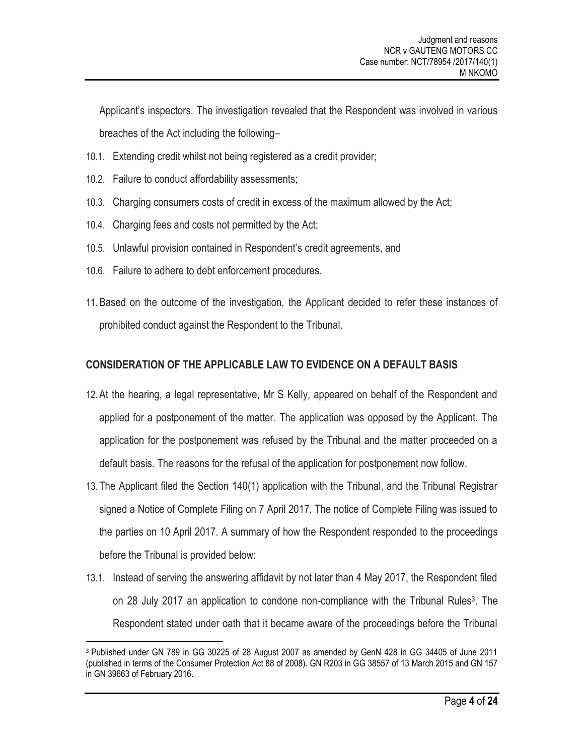Applicant's inspectors. The investigation revealed that the Respondent was involved in various breaches of the Act including the following–

- 10.1. Extending credit whilst not being registered as a credit provider;
- 10.2. Failure to conduct affordability assessments;
- 10.3. Charging consumers costs of credit in excess of the maximum allowed by the Act;
- 10.4. Charging fees and costs not permitted by the Act;
- 10.5. Unlawful provision contained in Respondent's credit agreements, and
- 10.6. Failure to adhere to debt enforcement procedures.

l

11.Based on the outcome of the investigation, the Applicant decided to refer these instances of prohibited conduct against the Respondent to the Tribunal.

# **CONSIDERATION OF THE APPLICABLE LAW TO EVIDENCE ON A DEFAULT BASIS**

- 12.At the hearing, a legal representative, Mr S Kelly, appeared on behalf of the Respondent and applied for a postponement of the matter. The application was opposed by the Applicant. The application for the postponement was refused by the Tribunal and the matter proceeded on a default basis. The reasons for the refusal of the application for postponement now follow.
- 13. The Applicant filed the Section 140(1) application with the Tribunal, and the Tribunal Registrar signed a Notice of Complete Filing on 7 April 2017. The notice of Complete Filing was issued to the parties on 10 April 2017. A summary of how the Respondent responded to the proceedings before the Tribunal is provided below:
- 13.1. Instead of serving the answering affidavit by not later than 4 May 2017, the Respondent filed on 28 July 2017 an application to condone non-compliance with the Tribunal Rules<sup>3</sup>. The Respondent stated under oath that it became aware of the proceedings before the Tribunal

<sup>3</sup> Published under GN 789 in GG 30225 of 28 August 2007 as amended by GenN 428 in GG 34405 of June 2011 (published in terms of the Consumer Protection Act 88 of 2008). GN R203 in GG 38557 of 13 March 2015 and GN 157 in GN 39663 of February 2016.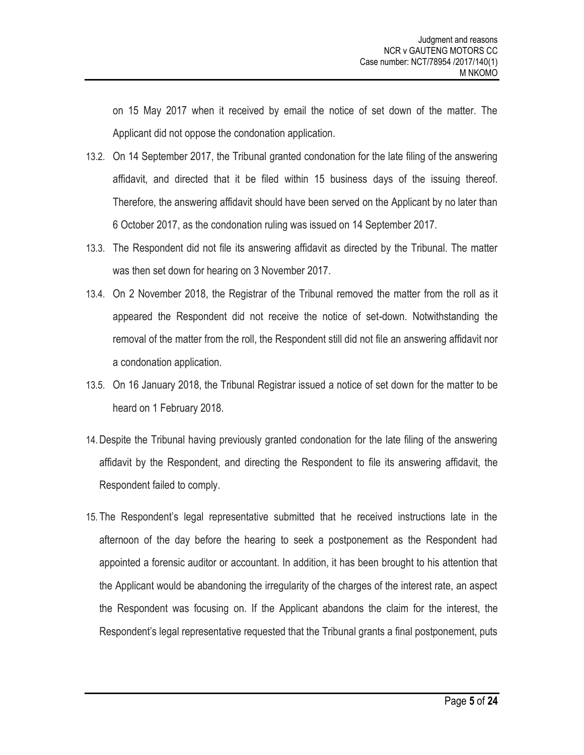on 15 May 2017 when it received by email the notice of set down of the matter. The Applicant did not oppose the condonation application.

- 13.2. On 14 September 2017, the Tribunal granted condonation for the late filing of the answering affidavit, and directed that it be filed within 15 business days of the issuing thereof. Therefore, the answering affidavit should have been served on the Applicant by no later than 6 October 2017, as the condonation ruling was issued on 14 September 2017.
- 13.3. The Respondent did not file its answering affidavit as directed by the Tribunal. The matter was then set down for hearing on 3 November 2017.
- 13.4. On 2 November 2018, the Registrar of the Tribunal removed the matter from the roll as it appeared the Respondent did not receive the notice of set-down. Notwithstanding the removal of the matter from the roll, the Respondent still did not file an answering affidavit nor a condonation application.
- 13.5. On 16 January 2018, the Tribunal Registrar issued a notice of set down for the matter to be heard on 1 February 2018.
- 14.Despite the Tribunal having previously granted condonation for the late filing of the answering affidavit by the Respondent, and directing the Respondent to file its answering affidavit, the Respondent failed to comply.
- 15. The Respondent's legal representative submitted that he received instructions late in the afternoon of the day before the hearing to seek a postponement as the Respondent had appointed a forensic auditor or accountant. In addition, it has been brought to his attention that the Applicant would be abandoning the irregularity of the charges of the interest rate, an aspect the Respondent was focusing on. If the Applicant abandons the claim for the interest, the Respondent's legal representative requested that the Tribunal grants a final postponement, puts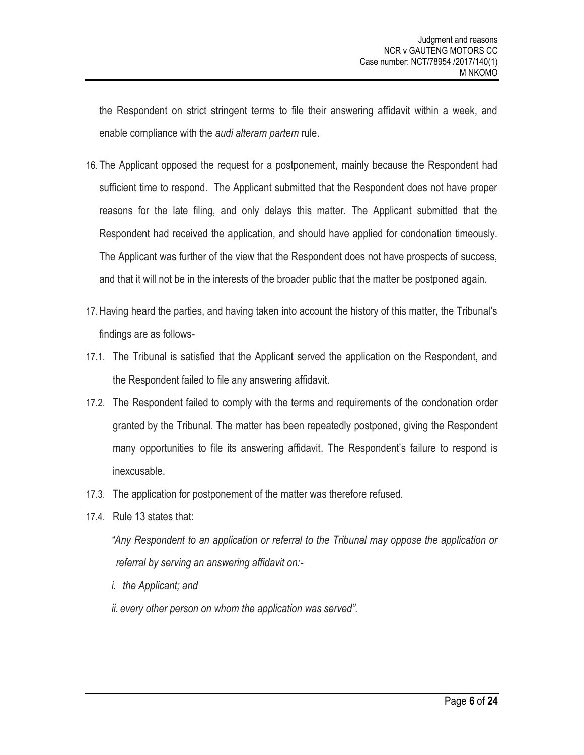the Respondent on strict stringent terms to file their answering affidavit within a week, and enable compliance with the *audi alteram partem* rule.

- 16. The Applicant opposed the request for a postponement, mainly because the Respondent had sufficient time to respond. The Applicant submitted that the Respondent does not have proper reasons for the late filing, and only delays this matter. The Applicant submitted that the Respondent had received the application, and should have applied for condonation timeously. The Applicant was further of the view that the Respondent does not have prospects of success, and that it will not be in the interests of the broader public that the matter be postponed again.
- 17.Having heard the parties, and having taken into account the history of this matter, the Tribunal's findings are as follows-
- 17.1. The Tribunal is satisfied that the Applicant served the application on the Respondent, and the Respondent failed to file any answering affidavit.
- 17.2. The Respondent failed to comply with the terms and requirements of the condonation order granted by the Tribunal. The matter has been repeatedly postponed, giving the Respondent many opportunities to file its answering affidavit. The Respondent's failure to respond is inexcusable.
- 17.3. The application for postponement of the matter was therefore refused.
- 17.4. Rule 13 states that:

*"Any Respondent to an application or referral to the Tribunal may oppose the application or referral by serving an answering affidavit on:-*

- *i. the Applicant; and*
- *ii. every other person on whom the application was served".*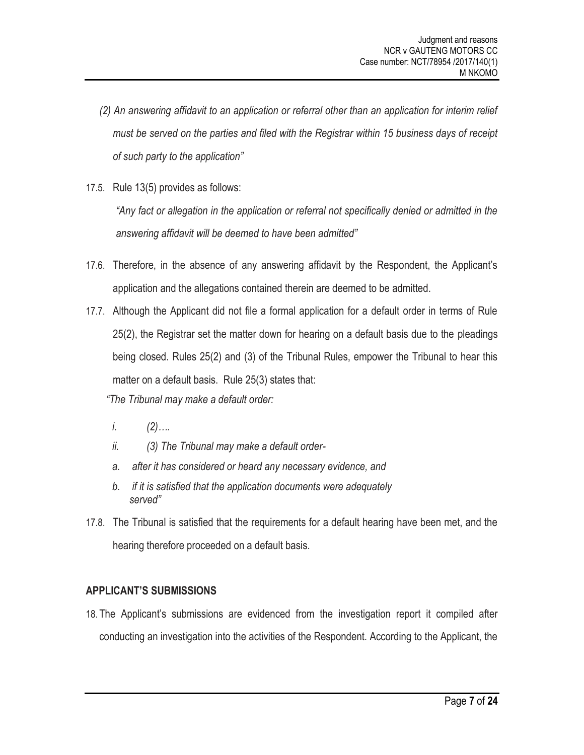- *(2) An answering affidavit to an application or referral other than an application for interim relief must be served on the parties and filed with the Registrar within 15 business days of receipt of such party to the application"*
- 17.5. Rule 13(5) provides as follows:

*"Any fact or allegation in the application or referral not specifically denied or admitted in the answering affidavit will be deemed to have been admitted"*

- 17.6. Therefore, in the absence of any answering affidavit by the Respondent, the Applicant's application and the allegations contained therein are deemed to be admitted.
- 17.7. Although the Applicant did not file a formal application for a default order in terms of Rule 25(2), the Registrar set the matter down for hearing on a default basis due to the pleadings being closed. Rules 25(2) and (3) of the Tribunal Rules, empower the Tribunal to hear this matter on a default basis. Rule 25(3) states that:

*"The Tribunal may make a default order:*

- *i. (2)….*
- *ii. (3) The Tribunal may make a default order-*
- *a. after it has considered or heard any necessary evidence, and*
- *b. if it is satisfied that the application documents were adequately served"*
- 17.8. The Tribunal is satisfied that the requirements for a default hearing have been met, and the hearing therefore proceeded on a default basis.

# **APPLICANT'S SUBMISSIONS**

18. The Applicant's submissions are evidenced from the investigation report it compiled after conducting an investigation into the activities of the Respondent. According to the Applicant, the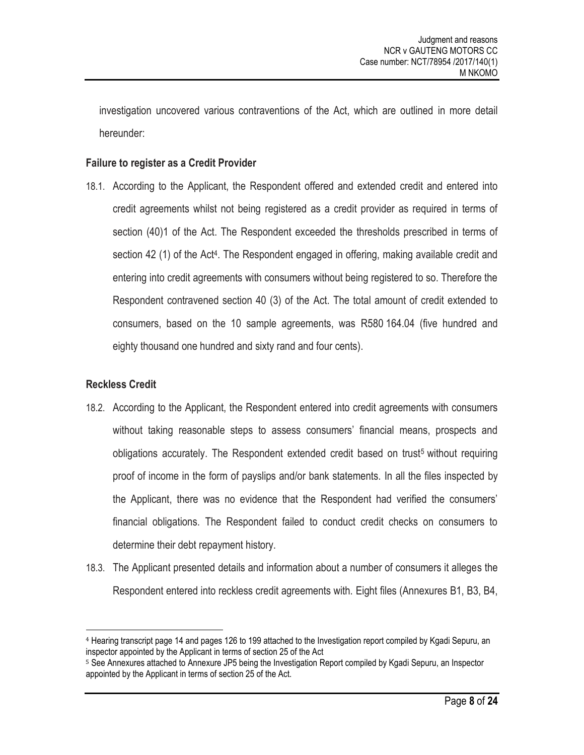investigation uncovered various contraventions of the Act, which are outlined in more detail hereunder:

#### **Failure to register as a Credit Provider**

18.1. According to the Applicant, the Respondent offered and extended credit and entered into credit agreements whilst not being registered as a credit provider as required in terms of section (40)1 of the Act. The Respondent exceeded the thresholds prescribed in terms of section 42 (1) of the Act<sup>4</sup>. The Respondent engaged in offering, making available credit and entering into credit agreements with consumers without being registered to so. Therefore the Respondent contravened section 40 (3) of the Act. The total amount of credit extended to consumers, based on the 10 sample agreements, was R580 164.04 (five hundred and eighty thousand one hundred and sixty rand and four cents).

# **Reckless Credit**

- 18.2. According to the Applicant, the Respondent entered into credit agreements with consumers without taking reasonable steps to assess consumers' financial means, prospects and obligations accurately. The Respondent extended credit based on trust<sup>5</sup> without requiring proof of income in the form of payslips and/or bank statements. In all the files inspected by the Applicant, there was no evidence that the Respondent had verified the consumers' financial obligations. The Respondent failed to conduct credit checks on consumers to determine their debt repayment history.
- 18.3. The Applicant presented details and information about a number of consumers it alleges the Respondent entered into reckless credit agreements with. Eight files (Annexures B1, B3, B4,

<sup>4</sup> Hearing transcript page 14 and pages 126 to 199 attached to the Investigation report compiled by Kgadi Sepuru, an inspector appointed by the Applicant in terms of section 25 of the Act

<sup>5</sup> See Annexures attached to Annexure JP5 being the Investigation Report compiled by Kgadi Sepuru, an Inspector appointed by the Applicant in terms of section 25 of the Act.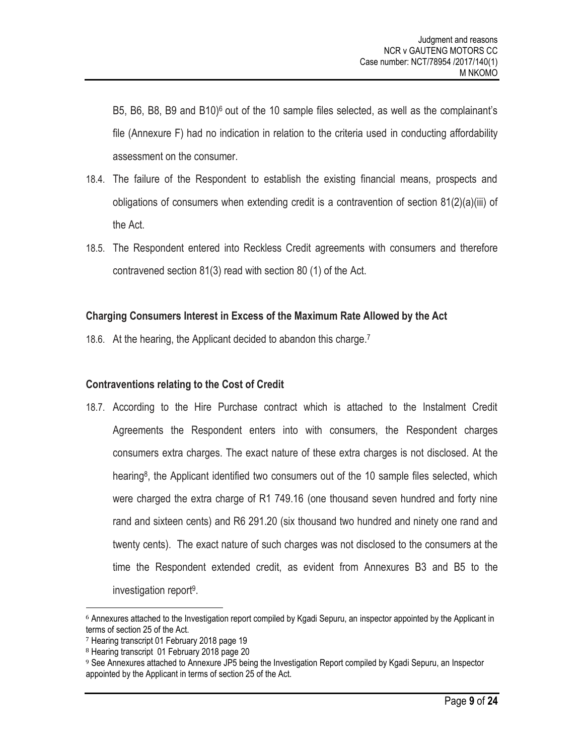B5, B6, B8, B9 and B10)<sup>6</sup> out of the 10 sample files selected, as well as the complainant's file (Annexure F) had no indication in relation to the criteria used in conducting affordability assessment on the consumer.

- 18.4. The failure of the Respondent to establish the existing financial means, prospects and obligations of consumers when extending credit is a contravention of section 81(2)(a)(iii) of the Act.
- 18.5. The Respondent entered into Reckless Credit agreements with consumers and therefore contravened section 81(3) read with section 80 (1) of the Act.

# **Charging Consumers Interest in Excess of the Maximum Rate Allowed by the Act**

18.6. At the hearing, the Applicant decided to abandon this charge.<sup>7</sup>

# **Contraventions relating to the Cost of Credit**

18.7. According to the Hire Purchase contract which is attached to the Instalment Credit Agreements the Respondent enters into with consumers, the Respondent charges consumers extra charges. The exact nature of these extra charges is not disclosed. At the hearing<sup>8</sup>, the Applicant identified two consumers out of the 10 sample files selected, which were charged the extra charge of R1 749.16 (one thousand seven hundred and forty nine rand and sixteen cents) and R6 291.20 (six thousand two hundred and ninety one rand and twenty cents). The exact nature of such charges was not disclosed to the consumers at the time the Respondent extended credit, as evident from Annexures B3 and B5 to the investigation report<sup>9</sup>.

<sup>6</sup> Annexures attached to the Investigation report compiled by Kgadi Sepuru, an inspector appointed by the Applicant in terms of section 25 of the Act.

<sup>7</sup> Hearing transcript 01 February 2018 page 19

<sup>8</sup> Hearing transcript 01 February 2018 page 20

<sup>9</sup> See Annexures attached to Annexure JP5 being the Investigation Report compiled by Kgadi Sepuru, an Inspector appointed by the Applicant in terms of section 25 of the Act.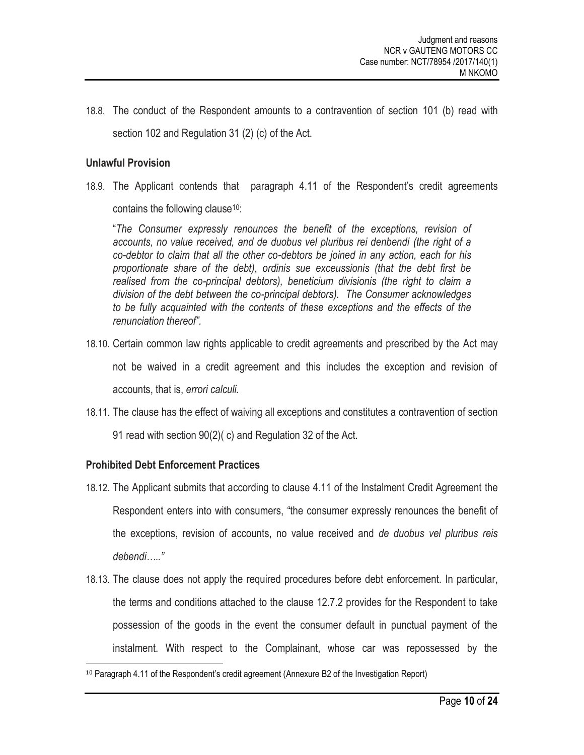18.8. The conduct of the Respondent amounts to a contravention of section 101 (b) read with section 102 and Regulation 31 (2) (c) of the Act.

### **Unlawful Provision**

18.9. The Applicant contends that paragraph 4.11 of the Respondent's credit agreements contains the following clause  $10$ :

"*The Consumer expressly renounces the benefit of the exceptions, revision of accounts, no value received, and de duobus vel pluribus rei denbendi (the right of a co-debtor to claim that all the other co-debtors be joined in any action, each for his proportionate share of the debt), ordinis sue exceussionis (that the debt first be realised from the co-principal debtors), beneticium divisionis (the right to claim a division of the debt between the co-principal debtors). The Consumer acknowledges to be fully acquainted with the contents of these exceptions and the effects of the renunciation thereof".*

- 18.10. Certain common law rights applicable to credit agreements and prescribed by the Act may not be waived in a credit agreement and this includes the exception and revision of accounts, that is, *errori calculi.*
- 18.11. The clause has the effect of waiving all exceptions and constitutes a contravention of section 91 read with section 90(2)( c) and Regulation 32 of the Act.

# **Prohibited Debt Enforcement Practices**

- 18.12. The Applicant submits that according to clause 4.11 of the Instalment Credit Agreement the Respondent enters into with consumers, "the consumer expressly renounces the benefit of the exceptions, revision of accounts, no value received and *de duobus vel pluribus reis debendi….."*
- 18.13. The clause does not apply the required procedures before debt enforcement. In particular, the terms and conditions attached to the clause 12.7.2 provides for the Respondent to take possession of the goods in the event the consumer default in punctual payment of the instalment. With respect to the Complainant, whose car was repossessed by the

<sup>10</sup> Paragraph 4.11 of the Respondent's credit agreement (Annexure B2 of the Investigation Report)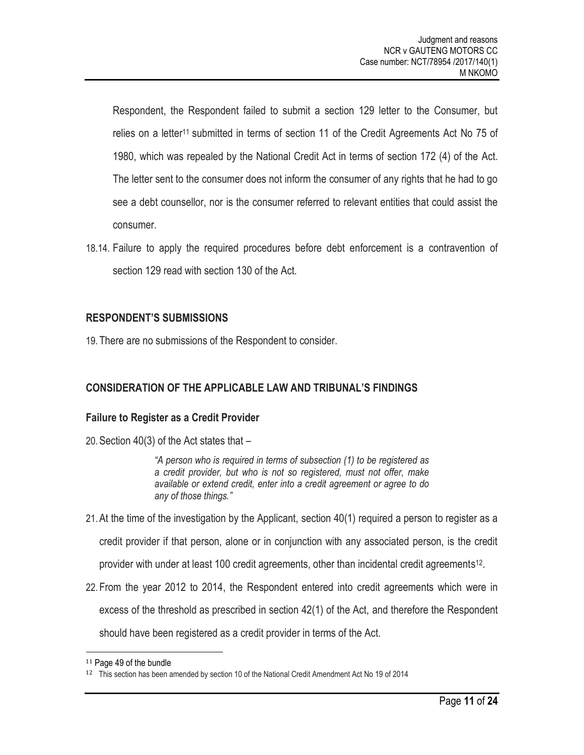Respondent, the Respondent failed to submit a section 129 letter to the Consumer, but relies on a letter<sup>11</sup> submitted in terms of section 11 of the Credit Agreements Act No 75 of 1980, which was repealed by the National Credit Act in terms of section 172 (4) of the Act. The letter sent to the consumer does not inform the consumer of any rights that he had to go see a debt counsellor, nor is the consumer referred to relevant entities that could assist the consumer.

18.14. Failure to apply the required procedures before debt enforcement is a contravention of section 129 read with section 130 of the Act.

#### **RESPONDENT'S SUBMISSIONS**

19. There are no submissions of the Respondent to consider.

# **CONSIDERATION OF THE APPLICABLE LAW AND TRIBUNAL'S FINDINGS**

#### **Failure to Register as a Credit Provider**

20.Section 40(3) of the Act states that –

*"A person who is required in terms of subsection (1) to be registered as a credit provider, but who is not so registered, must not offer, make available or extend credit, enter into a credit agreement or agree to do any of those things."*

- 21.At the time of the investigation by the Applicant, section 40(1) required a person to register as a credit provider if that person, alone or in conjunction with any associated person, is the credit provider with under at least 100 credit agreements, other than incidental credit agreements<sup>12</sup>.
- 22. From the year 2012 to 2014, the Respondent entered into credit agreements which were in excess of the threshold as prescribed in section 42(1) of the Act, and therefore the Respondent should have been registered as a credit provider in terms of the Act.

<sup>11</sup> Page 49 of the bundle

<sup>12</sup> This section has been amended by section 10 of the National Credit Amendment Act No 19 of 2014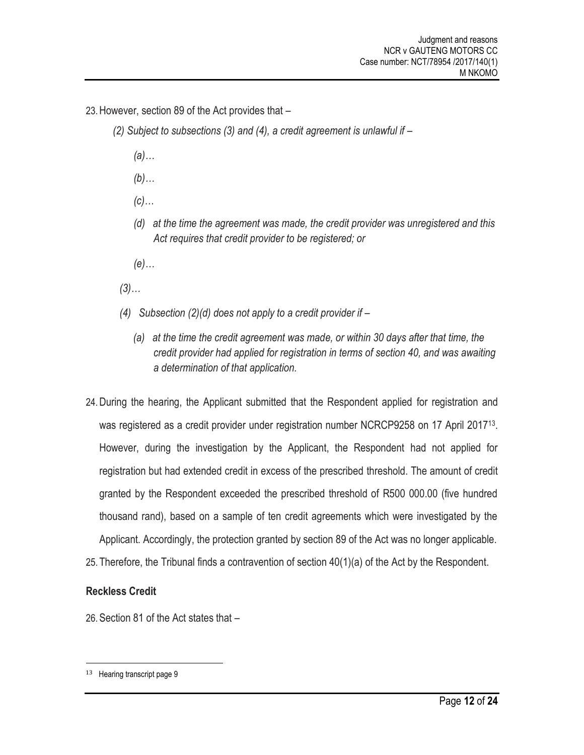- 23.However, section 89 of the Act provides that
	- *(2) Subject to subsections (3) and (4), a credit agreement is unlawful if –*
		- *(a)…*
		- *(b)…*
		- *(c)…*
		- *(d) at the time the agreement was made, the credit provider was unregistered and this Act requires that credit provider to be registered; or*
		- *(e)…*
	- *(3)…*
	- *(4) Subsection (2)(d) does not apply to a credit provider if –*
		- *(a) at the time the credit agreement was made, or within 30 days after that time, the credit provider had applied for registration in terms of section 40, and was awaiting a determination of that application.*
- 24.During the hearing, the Applicant submitted that the Respondent applied for registration and was registered as a credit provider under registration number NCRCP9258 on 17 April 2017<sup>13</sup>. However, during the investigation by the Applicant, the Respondent had not applied for registration but had extended credit in excess of the prescribed threshold. The amount of credit granted by the Respondent exceeded the prescribed threshold of R500 000.00 (five hundred thousand rand), based on a sample of ten credit agreements which were investigated by the Applicant. Accordingly, the protection granted by section 89 of the Act was no longer applicable.
- 25. Therefore, the Tribunal finds a contravention of section 40(1)(a) of the Act by the Respondent.

#### **Reckless Credit**

26.Section 81 of the Act states that –

<sup>13</sup> Hearing transcript page 9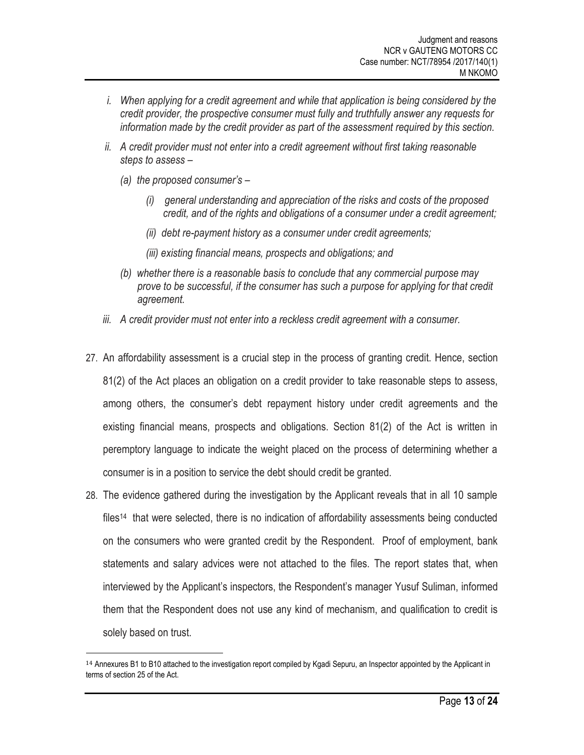- *i. When applying for a credit agreement and while that application is being considered by the credit provider, the prospective consumer must fully and truthfully answer any requests for information made by the credit provider as part of the assessment required by this section.*
- *ii. A credit provider must not enter into a credit agreement without first taking reasonable steps to assess –*
	- *(a) the proposed consumer's –*

- *(i) general understanding and appreciation of the risks and costs of the proposed credit, and of the rights and obligations of a consumer under a credit agreement;*
- *(ii) debt re-payment history as a consumer under credit agreements;*
- *(iii) existing financial means, prospects and obligations; and*
- *(b) whether there is a reasonable basis to conclude that any commercial purpose may prove to be successful, if the consumer has such a purpose for applying for that credit agreement.*
- *iii. A credit provider must not enter into a reckless credit agreement with a consumer.*
- 27. An affordability assessment is a crucial step in the process of granting credit. Hence, section 81(2) of the Act places an obligation on a credit provider to take reasonable steps to assess, among others, the consumer's debt repayment history under credit agreements and the existing financial means, prospects and obligations. Section 81(2) of the Act is written in peremptory language to indicate the weight placed on the process of determining whether a consumer is in a position to service the debt should credit be granted.
- 28. The evidence gathered during the investigation by the Applicant reveals that in all 10 sample files<sup>14</sup> that were selected, there is no indication of affordability assessments being conducted on the consumers who were granted credit by the Respondent. Proof of employment, bank statements and salary advices were not attached to the files. The report states that, when interviewed by the Applicant's inspectors, the Respondent's manager Yusuf Suliman, informed them that the Respondent does not use any kind of mechanism, and qualification to credit is solely based on trust.

<sup>&</sup>lt;sup>14</sup> Annexures B1 to B10 attached to the investigation report compiled by Kgadi Sepuru, an Inspector appointed by the Applicant in terms of section 25 of the Act.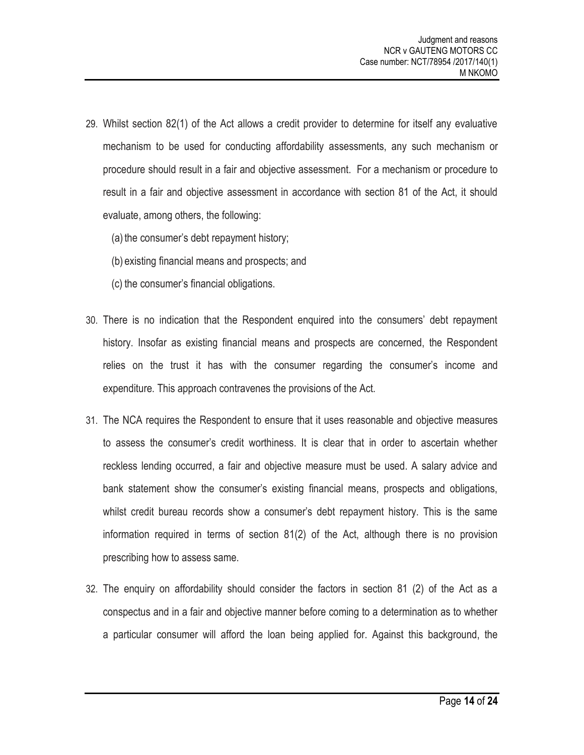- 29. Whilst section 82(1) of the Act allows a credit provider to determine for itself any evaluative mechanism to be used for conducting affordability assessments, any such mechanism or procedure should result in a fair and objective assessment. For a mechanism or procedure to result in a fair and objective assessment in accordance with section 81 of the Act, it should evaluate, among others, the following:
	- (a) the consumer's debt repayment history;
	- (b) existing financial means and prospects; and
	- (c) the consumer's financial obligations.
- 30. There is no indication that the Respondent enquired into the consumers' debt repayment history. Insofar as existing financial means and prospects are concerned, the Respondent relies on the trust it has with the consumer regarding the consumer's income and expenditure. This approach contravenes the provisions of the Act.
- 31. The NCA requires the Respondent to ensure that it uses reasonable and objective measures to assess the consumer's credit worthiness. It is clear that in order to ascertain whether reckless lending occurred, a fair and objective measure must be used. A salary advice and bank statement show the consumer's existing financial means, prospects and obligations, whilst credit bureau records show a consumer's debt repayment history. This is the same information required in terms of section 81(2) of the Act, although there is no provision prescribing how to assess same.
- 32. The enquiry on affordability should consider the factors in section 81 (2) of the Act as a conspectus and in a fair and objective manner before coming to a determination as to whether a particular consumer will afford the loan being applied for. Against this background, the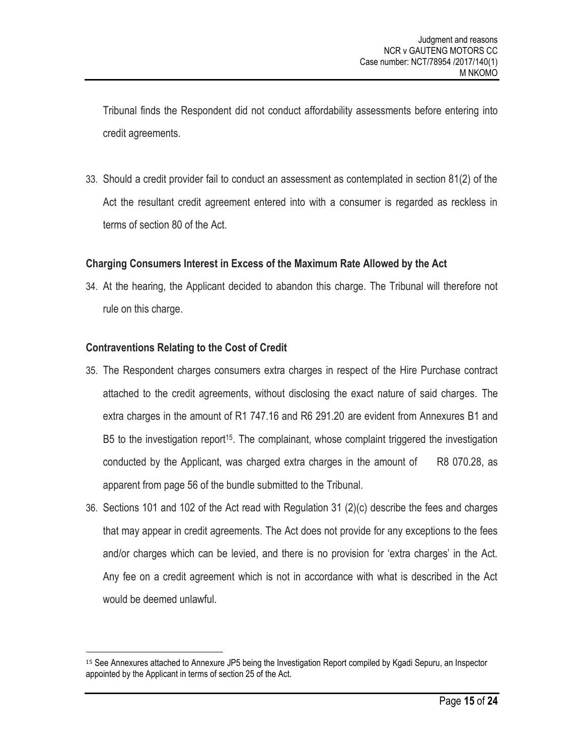Tribunal finds the Respondent did not conduct affordability assessments before entering into credit agreements.

33. Should a credit provider fail to conduct an assessment as contemplated in section 81(2) of the Act the resultant credit agreement entered into with a consumer is regarded as reckless in terms of section 80 of the Act.

# **Charging Consumers Interest in Excess of the Maximum Rate Allowed by the Act**

34. At the hearing, the Applicant decided to abandon this charge. The Tribunal will therefore not rule on this charge.

#### **Contraventions Relating to the Cost of Credit**

- 35. The Respondent charges consumers extra charges in respect of the Hire Purchase contract attached to the credit agreements, without disclosing the exact nature of said charges. The extra charges in the amount of R1 747.16 and R6 291.20 are evident from Annexures B1 and B5 to the investigation report<sup>15</sup>. The complainant, whose complaint triggered the investigation conducted by the Applicant, was charged extra charges in the amount of  $R8$  070.28, as apparent from page 56 of the bundle submitted to the Tribunal.
- 36. Sections 101 and 102 of the Act read with Regulation 31 (2)(c) describe the fees and charges that may appear in credit agreements. The Act does not provide for any exceptions to the fees and/or charges which can be levied, and there is no provision for 'extra charges' in the Act. Any fee on a credit agreement which is not in accordance with what is described in the Act would be deemed unlawful.

<sup>15</sup> See Annexures attached to Annexure JP5 being the Investigation Report compiled by Kgadi Sepuru, an Inspector appointed by the Applicant in terms of section 25 of the Act.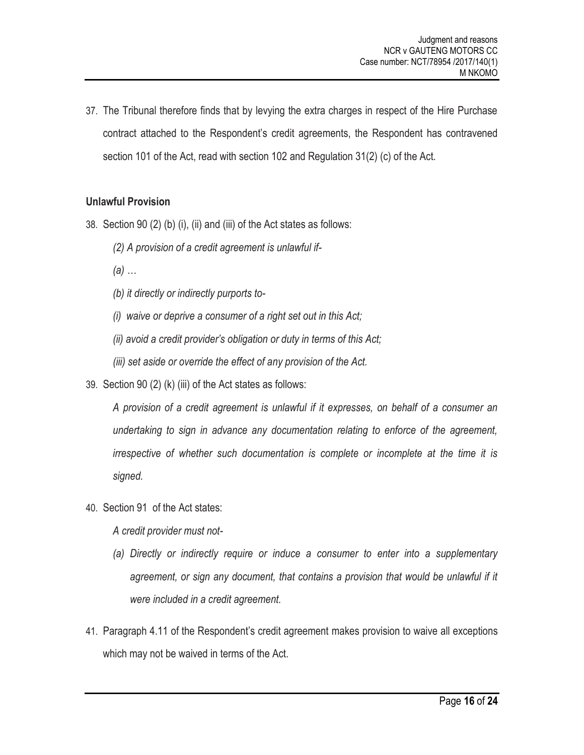37. The Tribunal therefore finds that by levying the extra charges in respect of the Hire Purchase contract attached to the Respondent's credit agreements, the Respondent has contravened section 101 of the Act, read with section 102 and Regulation 31(2) (c) of the Act.

#### **Unlawful Provision**

- 38. Section 90 (2) (b) (i), (ii) and (iii) of the Act states as follows:
	- *(2) A provision of a credit agreement is unlawful if-*
	- *(a) …*
	- *(b) it directly or indirectly purports to-*
	- *(i) waive or deprive a consumer of a right set out in this Act;*
	- *(ii) avoid a credit provider's obligation or duty in terms of this Act;*
	- *(iii) set aside or override the effect of any provision of the Act.*
- 39. Section 90 (2) (k) (iii) of the Act states as follows:

*A provision of a credit agreement is unlawful if it expresses, on behalf of a consumer an undertaking to sign in advance any documentation relating to enforce of the agreement, irrespective of whether such documentation is complete or incomplete at the time it is signed.*

40. Section 91 of the Act states:

*A credit provider must not-*

- *(a) Directly or indirectly require or induce a consumer to enter into a supplementary*  agreement, or sign any document, that contains a provision that would be unlawful if it *were included in a credit agreement.*
- 41. Paragraph 4.11 of the Respondent's credit agreement makes provision to waive all exceptions which may not be waived in terms of the Act.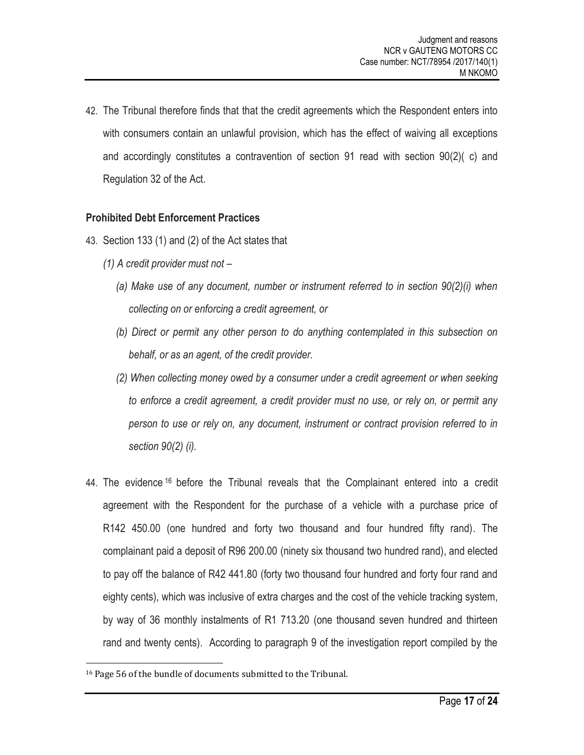42. The Tribunal therefore finds that that the credit agreements which the Respondent enters into with consumers contain an unlawful provision, which has the effect of waiving all exceptions and accordingly constitutes a contravention of section 91 read with section 90(2)( c) and Regulation 32 of the Act.

# **Prohibited Debt Enforcement Practices**

- 43. Section 133 (1) and (2) of the Act states that
	- *(1) A credit provider must not –*
		- *(a) Make use of any document, number or instrument referred to in section 90(2)(i) when collecting on or enforcing a credit agreement, or*
		- *(b) Direct or permit any other person to do anything contemplated in this subsection on behalf, or as an agent, of the credit provider.*
		- *(2) When collecting money owed by a consumer under a credit agreement or when seeking to enforce a credit agreement, a credit provider must no use, or rely on, or permit any person to use or rely on, any document, instrument or contract provision referred to in section 90(2) (i).*
- 44. The evidence <sup>16</sup> before the Tribunal reveals that the Complainant entered into a credit agreement with the Respondent for the purchase of a vehicle with a purchase price of R142 450.00 (one hundred and forty two thousand and four hundred fifty rand). The complainant paid a deposit of R96 200.00 (ninety six thousand two hundred rand), and elected to pay off the balance of R42 441.80 (forty two thousand four hundred and forty four rand and eighty cents), which was inclusive of extra charges and the cost of the vehicle tracking system, by way of 36 monthly instalments of R1 713.20 (one thousand seven hundred and thirteen rand and twenty cents). According to paragraph 9 of the investigation report compiled by the

<sup>16</sup> Page 56 of the bundle of documents submitted to the Tribunal.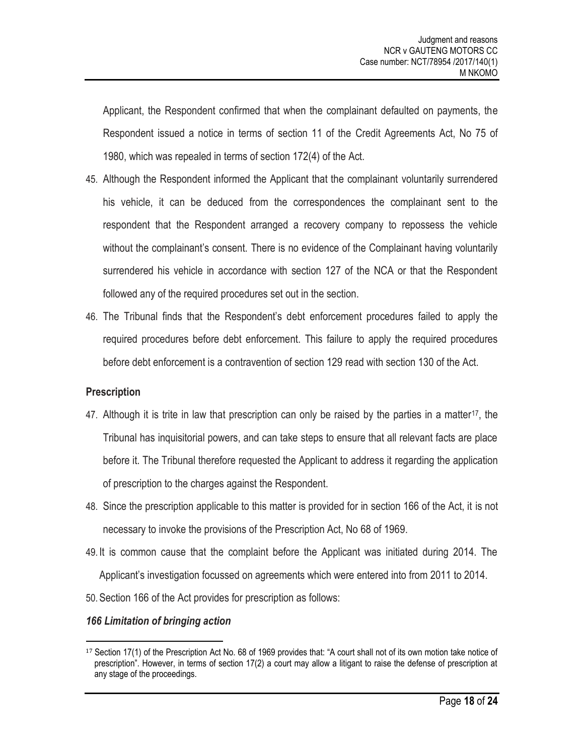Applicant, the Respondent confirmed that when the complainant defaulted on payments, the Respondent issued a notice in terms of section 11 of the Credit Agreements Act, No 75 of 1980, which was repealed in terms of section 172(4) of the Act.

- 45. Although the Respondent informed the Applicant that the complainant voluntarily surrendered his vehicle, it can be deduced from the correspondences the complainant sent to the respondent that the Respondent arranged a recovery company to repossess the vehicle without the complainant's consent. There is no evidence of the Complainant having voluntarily surrendered his vehicle in accordance with section 127 of the NCA or that the Respondent followed any of the required procedures set out in the section.
- 46. The Tribunal finds that the Respondent's debt enforcement procedures failed to apply the required procedures before debt enforcement. This failure to apply the required procedures before debt enforcement is a contravention of section 129 read with section 130 of the Act.

# **Prescription**

- 47. Although it is trite in law that prescription can only be raised by the parties in a matter<sup>17</sup>, the Tribunal has inquisitorial powers, and can take steps to ensure that all relevant facts are place before it. The Tribunal therefore requested the Applicant to address it regarding the application of prescription to the charges against the Respondent.
- 48. Since the prescription applicable to this matter is provided for in section 166 of the Act, it is not necessary to invoke the provisions of the Prescription Act, No 68 of 1969.
- 49. It is common cause that the complaint before the Applicant was initiated during 2014. The Applicant's investigation focussed on agreements which were entered into from 2011 to 2014.
- 50.Section 166 of the Act provides for prescription as follows:

# *166 Limitation of bringing action*

l <sup>17</sup> Section 17(1) of the Prescription Act No. 68 of 1969 provides that: "A court shall not of its own motion take notice of prescription". However, in terms of section 17(2) a court may allow a litigant to raise the defense of prescription at any stage of the proceedings.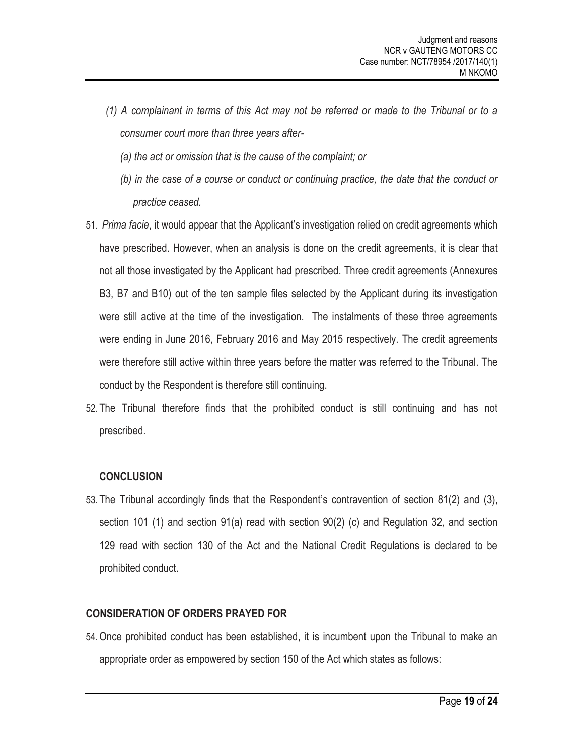- *(1) A complainant in terms of this Act may not be referred or made to the Tribunal or to a consumer court more than three years after-*
	- *(a) the act or omission that is the cause of the complaint; or*
	- *(b) in the case of a course or conduct or continuing practice, the date that the conduct or practice ceased.*
- 51. *Prima facie*, it would appear that the Applicant's investigation relied on credit agreements which have prescribed. However, when an analysis is done on the credit agreements, it is clear that not all those investigated by the Applicant had prescribed. Three credit agreements (Annexures B3, B7 and B10) out of the ten sample files selected by the Applicant during its investigation were still active at the time of the investigation. The instalments of these three agreements were ending in June 2016, February 2016 and May 2015 respectively. The credit agreements were therefore still active within three years before the matter was referred to the Tribunal. The conduct by the Respondent is therefore still continuing.
- 52. The Tribunal therefore finds that the prohibited conduct is still continuing and has not prescribed.

# **CONCLUSION**

53. The Tribunal accordingly finds that the Respondent's contravention of section 81(2) and (3), section 101 (1) and section 91(a) read with section 90(2) (c) and Regulation 32, and section 129 read with section 130 of the Act and the National Credit Regulations is declared to be prohibited conduct.

# **CONSIDERATION OF ORDERS PRAYED FOR**

54.Once prohibited conduct has been established, it is incumbent upon the Tribunal to make an appropriate order as empowered by section 150 of the Act which states as follows: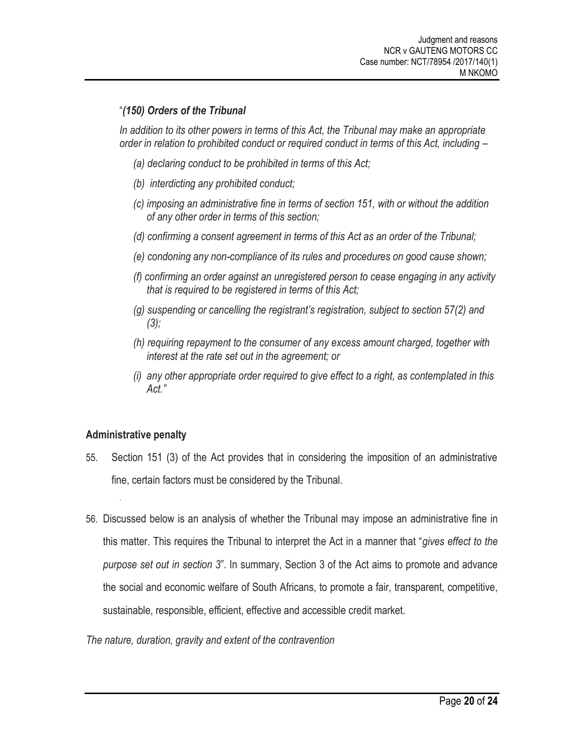# "*(150) Orders of the Tribunal*

*In addition to its other powers in terms of this Act, the Tribunal may make an appropriate order in relation to prohibited conduct or required conduct in terms of this Act, including –*

- *(a) declaring conduct to be prohibited in terms of this Act;*
- *(b) interdicting any prohibited conduct;*
- *(c) imposing an administrative fine in terms of section 151, with or without the addition of any other order in terms of this section;*
- *(d) confirming a consent agreement in terms of this Act as an order of the Tribunal;*
- *(e) condoning any non-compliance of its rules and procedures on good cause shown;*
- *(f) confirming an order against an unregistered person to cease engaging in any activity that is required to be registered in terms of this Act;*
- *(g) suspending or cancelling the registrant's registration, subject to section 57(2) and (3);*
- *(h) requiring repayment to the consumer of any excess amount charged, together with interest at the rate set out in the agreement; or*
- *(i) any other appropriate order required to give effect to a right, as contemplated in this Act."*

# **Administrative penalty**

.

- 55. Section 151 (3) of the Act provides that in considering the imposition of an administrative fine, certain factors must be considered by the Tribunal.
- 56. Discussed below is an analysis of whether the Tribunal may impose an administrative fine in this matter. This requires the Tribunal to interpret the Act in a manner that "*gives effect to the purpose set out in section 3*". In summary, Section 3 of the Act aims to promote and advance the social and economic welfare of South Africans, to promote a fair, transparent, competitive, sustainable, responsible, efficient, effective and accessible credit market.

*The nature, duration, gravity and extent of the contravention*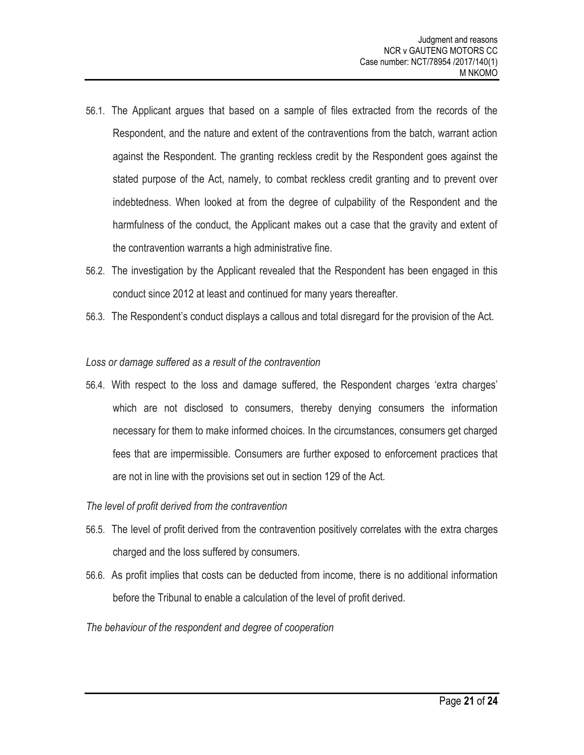- 56.1. The Applicant argues that based on a sample of files extracted from the records of the Respondent, and the nature and extent of the contraventions from the batch, warrant action against the Respondent. The granting reckless credit by the Respondent goes against the stated purpose of the Act, namely, to combat reckless credit granting and to prevent over indebtedness. When looked at from the degree of culpability of the Respondent and the harmfulness of the conduct, the Applicant makes out a case that the gravity and extent of the contravention warrants a high administrative fine.
- 56.2. The investigation by the Applicant revealed that the Respondent has been engaged in this conduct since 2012 at least and continued for many years thereafter.
- 56.3. The Respondent's conduct displays a callous and total disregard for the provision of the Act.

#### *Loss or damage suffered as a result of the contravention*

56.4. With respect to the loss and damage suffered, the Respondent charges 'extra charges' which are not disclosed to consumers, thereby denying consumers the information necessary for them to make informed choices. In the circumstances, consumers get charged fees that are impermissible. Consumers are further exposed to enforcement practices that are not in line with the provisions set out in section 129 of the Act.

# *The level of profit derived from the contravention*

- 56.5. The level of profit derived from the contravention positively correlates with the extra charges charged and the loss suffered by consumers.
- 56.6. As profit implies that costs can be deducted from income, there is no additional information before the Tribunal to enable a calculation of the level of profit derived.
- *The behaviour of the respondent and degree of cooperation*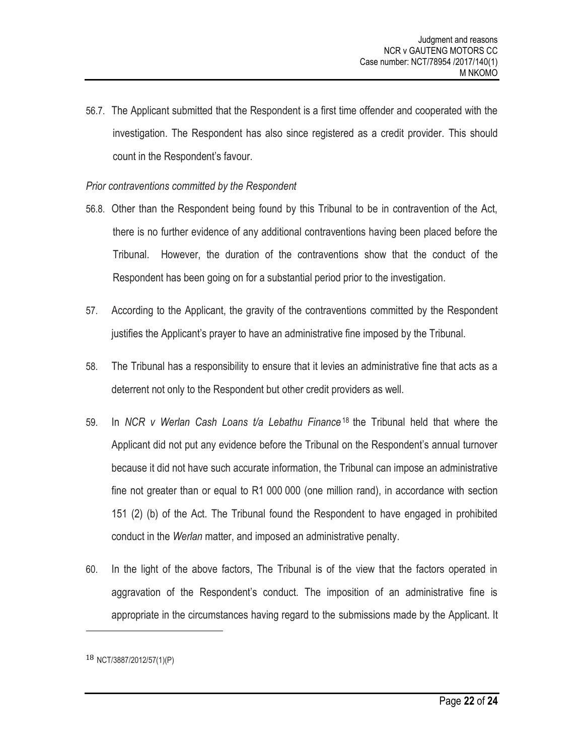56.7. The Applicant submitted that the Respondent is a first time offender and cooperated with the investigation. The Respondent has also since registered as a credit provider. This should count in the Respondent's favour.

#### *Prior contraventions committed by the Respondent*

- 56.8. Other than the Respondent being found by this Tribunal to be in contravention of the Act, there is no further evidence of any additional contraventions having been placed before the Tribunal. However, the duration of the contraventions show that the conduct of the Respondent has been going on for a substantial period prior to the investigation.
- 57. According to the Applicant, the gravity of the contraventions committed by the Respondent justifies the Applicant's prayer to have an administrative fine imposed by the Tribunal.
- 58. The Tribunal has a responsibility to ensure that it levies an administrative fine that acts as a deterrent not only to the Respondent but other credit providers as well.
- 59. In *NCR v Werlan Cash Loans t/a Lebathu Finance*<sup>18</sup> the Tribunal held that where the Applicant did not put any evidence before the Tribunal on the Respondent's annual turnover because it did not have such accurate information, the Tribunal can impose an administrative fine not greater than or equal to R1 000 000 (one million rand), in accordance with section 151 (2) (b) of the Act. The Tribunal found the Respondent to have engaged in prohibited conduct in the *Werlan* matter, and imposed an administrative penalty.
- 60. In the light of the above factors, The Tribunal is of the view that the factors operated in aggravation of the Respondent's conduct. The imposition of an administrative fine is appropriate in the circumstances having regard to the submissions made by the Applicant. It

l

<sup>18</sup> NCT/3887/2012/57(1)(P)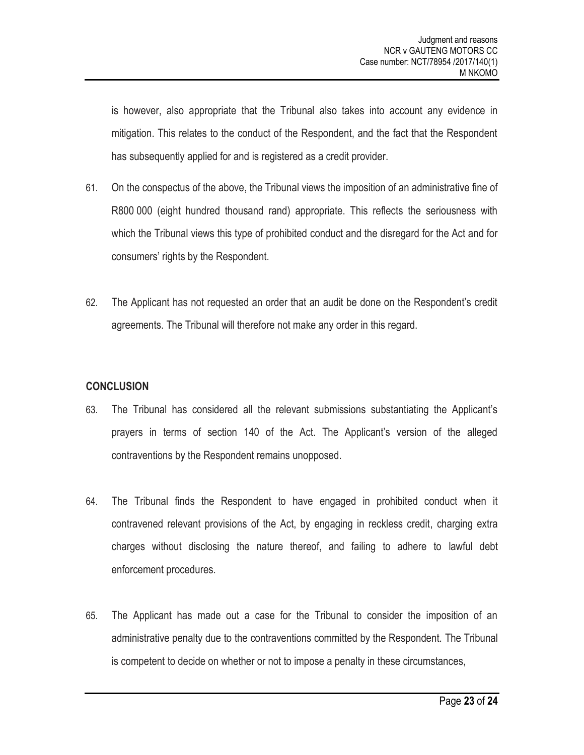is however, also appropriate that the Tribunal also takes into account any evidence in mitigation. This relates to the conduct of the Respondent, and the fact that the Respondent has subsequently applied for and is registered as a credit provider.

- 61. On the conspectus of the above, the Tribunal views the imposition of an administrative fine of R800 000 (eight hundred thousand rand) appropriate. This reflects the seriousness with which the Tribunal views this type of prohibited conduct and the disregard for the Act and for consumers' rights by the Respondent.
- 62. The Applicant has not requested an order that an audit be done on the Respondent's credit agreements. The Tribunal will therefore not make any order in this regard.

# **CONCLUSION**

- 63. The Tribunal has considered all the relevant submissions substantiating the Applicant's prayers in terms of section 140 of the Act. The Applicant's version of the alleged contraventions by the Respondent remains unopposed.
- 64. The Tribunal finds the Respondent to have engaged in prohibited conduct when it contravened relevant provisions of the Act, by engaging in reckless credit, charging extra charges without disclosing the nature thereof, and failing to adhere to lawful debt enforcement procedures.
- 65. The Applicant has made out a case for the Tribunal to consider the imposition of an administrative penalty due to the contraventions committed by the Respondent. The Tribunal is competent to decide on whether or not to impose a penalty in these circumstances,